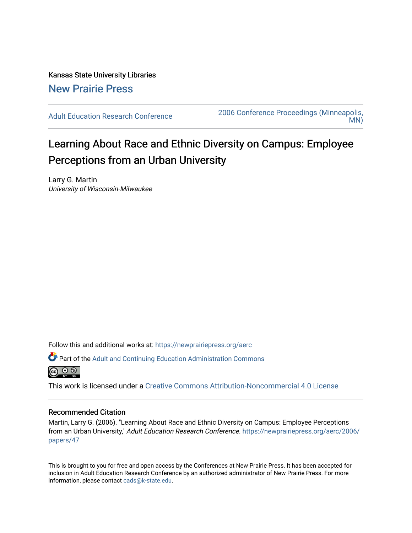Kansas State University Libraries [New Prairie Press](https://newprairiepress.org/) 

[Adult Education Research Conference](https://newprairiepress.org/aerc) [2006 Conference Proceedings \(Minneapolis,](https://newprairiepress.org/aerc/2006)  [MN\)](https://newprairiepress.org/aerc/2006) 

# Learning About Race and Ethnic Diversity on Campus: Employee Perceptions from an Urban University

Larry G. Martin University of Wisconsin-Milwaukee

Follow this and additional works at: [https://newprairiepress.org/aerc](https://newprairiepress.org/aerc?utm_source=newprairiepress.org%2Faerc%2F2006%2Fpapers%2F47&utm_medium=PDF&utm_campaign=PDFCoverPages)

Part of the [Adult and Continuing Education Administration Commons](http://network.bepress.com/hgg/discipline/789?utm_source=newprairiepress.org%2Faerc%2F2006%2Fpapers%2F47&utm_medium=PDF&utm_campaign=PDFCoverPages)



This work is licensed under a [Creative Commons Attribution-Noncommercial 4.0 License](https://creativecommons.org/licenses/by-nc/4.0/)

# Recommended Citation

Martin, Larry G. (2006). "Learning About Race and Ethnic Diversity on Campus: Employee Perceptions from an Urban University," Adult Education Research Conference. [https://newprairiepress.org/aerc/2006/](https://newprairiepress.org/aerc/2006/papers/47) [papers/47](https://newprairiepress.org/aerc/2006/papers/47) 

This is brought to you for free and open access by the Conferences at New Prairie Press. It has been accepted for inclusion in Adult Education Research Conference by an authorized administrator of New Prairie Press. For more information, please contact [cads@k-state.edu](mailto:cads@k-state.edu).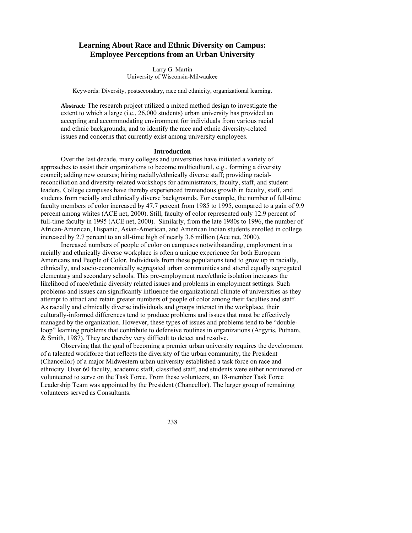# **Learning About Race and Ethnic Diversity on Campus: Employee Perceptions from an Urban University**

Larry G. Martin University of Wisconsin-Milwaukee

Keywords: Diversity, postsecondary, race and ethnicity, organizational learning.

**Abstract:** The research project utilized a mixed method design to investigate the extent to which a large (i.e., 26,000 students) urban university has provided an accepting and accommodating environment for individuals from various racial and ethnic backgrounds; and to identify the race and ethnic diversity-related issues and concerns that currently exist among university employees.

# **Introduction**

Over the last decade, many colleges and universities have initiated a variety of approaches to assist their organizations to become multicultural, e.g., forming a diversity council; adding new courses; hiring racially/ethnically diverse staff; providing racialreconciliation and diversity-related workshops for administrators, faculty, staff, and student leaders. College campuses have thereby experienced tremendous growth in faculty, staff, and students from racially and ethnically diverse backgrounds. For example, the number of full-time faculty members of color increased by 47.7 percent from 1985 to 1995, compared to a gain of 9.9 percent among whites (ACE net, 2000). Still, faculty of color represented only 12.9 percent of full-time faculty in 1995 (ACE net, 2000). Similarly, from the late 1980s to 1996, the number of African-American, Hispanic, Asian-American, and American Indian students enrolled in college increased by 2.7 percent to an all-time high of nearly 3.6 million (Ace net, 2000).

Increased numbers of people of color on campuses notwithstanding, employment in a racially and ethnically diverse workplace is often a unique experience for both European Americans and People of Color. Individuals from these populations tend to grow up in racially, ethnically, and socio-economically segregated urban communities and attend equally segregated elementary and secondary schools. This pre-employment race/ethnic isolation increases the likelihood of race/ethnic diversity related issues and problems in employment settings. Such problems and issues can significantly influence the organizational climate of universities as they attempt to attract and retain greater numbers of people of color among their faculties and staff. As racially and ethnically diverse individuals and groups interact in the workplace, their culturally-informed differences tend to produce problems and issues that must be effectively managed by the organization. However, these types of issues and problems tend to be "doubleloop" learning problems that contribute to defensive routines in organizations (Argyris, Putnam, & Smith, 1987). They are thereby very difficult to detect and resolve.

Observing that the goal of becoming a premier urban university requires the development of a talented workforce that reflects the diversity of the urban community, the President (Chancellor) of a major Midwestern urban university established a task force on race and ethnicity. Over 60 faculty, academic staff, classified staff, and students were either nominated or volunteered to serve on the Task Force. From these volunteers, an 18-member Task Force Leadership Team was appointed by the President (Chancellor). The larger group of remaining volunteers served as Consultants.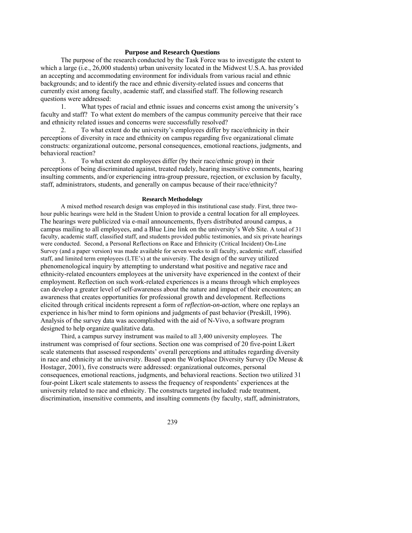# **Purpose and Research Questions**

 The purpose of the research conducted by the Task Force was to investigate the extent to which a large (i.e., 26,000 students) urban university located in the Midwest U.S.A. has provided an accepting and accommodating environment for individuals from various racial and ethnic backgrounds; and to identify the race and ethnic diversity-related issues and concerns that currently exist among faculty, academic staff, and classified staff. The following research questions were addressed:

1. What types of racial and ethnic issues and concerns exist among the university's faculty and staff? To what extent do members of the campus community perceive that their race and ethnicity related issues and concerns were successfully resolved?

2. To what extent do the university's employees differ by race/ethnicity in their perceptions of diversity in race and ethnicity on campus regarding five organizational climate constructs: organizational outcome, personal consequences, emotional reactions, judgments, and behavioral reaction?

3. To what extent do employees differ (by their race/ethnic group) in their perceptions of being discriminated against, treated rudely, hearing insensitive comments, hearing insulting comments, and/or experiencing intra-group pressure, rejection, or exclusion by faculty, staff, administrators, students, and generally on campus because of their race/ethnicity?

# **Research Methodology**

A mixed method research design was employed in this institutional case study. First, three twohour public hearings were held in the Student Union to provide a central location for all employees. The hearings were publicized via e-mail announcements, flyers distributed around campus, a campus mailing to all employees, and a Blue Line link on the university's Web Site. A total of 31 faculty, academic staff, classified staff, and students provided public testimonies, and six private hearings were conducted. Second, a Personal Reflections on Race and Ethnicity (Critical Incident) On-Line Survey (and a paper version) was made available for seven weeks to all faculty, academic staff, classified staff, and limited term employees (LTE's) at the university. The design of the survey utilized phenomenological inquiry by attempting to understand what positive and negative race and ethnicity-related encounters employees at the university have experienced in the context of their employment. Reflection on such work-related experiences is a means through which employees can develop a greater level of self-awareness about the nature and impact of their encounters; an awareness that creates opportunities for professional growth and development. Reflections elicited through critical incidents represent a form of *reflection-on-action*, where one replays an experience in his/her mind to form opinions and judgments of past behavior (Preskill, 1996). Analysis of the survey data was accomplished with the aid of N-Vivo, a software program designed to help organize qualitative data.

Third, a campus survey instrument was mailed to all 3,400 university employees. The instrument was comprised of four sections. Section one was comprised of 20 five-point Likert scale statements that assessed respondents' overall perceptions and attitudes regarding diversity in race and ethnicity at the university. Based upon the Workplace Diversity Survey (De Meuse  $\&$ Hostager, 2001), five constructs were addressed: organizational outcomes, personal consequences, emotional reactions, judgments, and behavioral reactions. Section two utilized 31 four-point Likert scale statements to assess the frequency of respondents' experiences at the university related to race and ethnicity. The constructs targeted included: rude treatment, discrimination, insensitive comments, and insulting comments (by faculty, staff, administrators,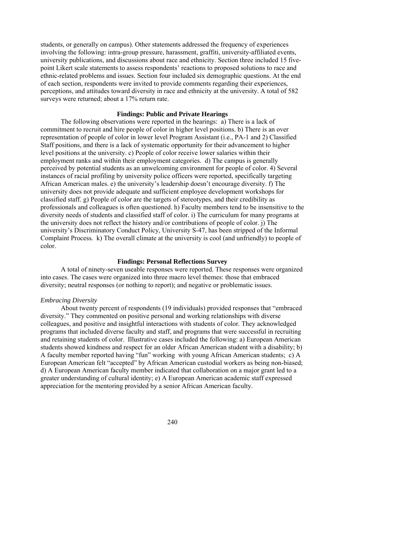students, or generally on campus). Other statements addressed the frequency of experiences involving the following: intra-group pressure, harassment, graffiti, university-affiliated events, university publications, and discussions about race and ethnicity. Section three included 15 fivepoint Likert scale statements to assess respondents' reactions to proposed solutions to race and ethnic-related problems and issues. Section four included six demographic questions. At the end of each section, respondents were invited to provide comments regarding their experiences, perceptions, and attitudes toward diversity in race and ethnicity at the university. A total of 582 surveys were returned; about a 17% return rate.

# **Findings: Public and Private Hearings**

 The following observations were reported in the hearings: a) There is a lack of commitment to recruit and hire people of color in higher level positions. b) There is an over representation of people of color in lower level Program Assistant (i.e., PA-1 and 2) Classified Staff positions, and there is a lack of systematic opportunity for their advancement to higher level positions at the university. c) People of color receive lower salaries within their employment ranks and within their employment categories. d) The campus is generally perceived by potential students as an unwelcoming environment for people of color. 4) Several instances of racial profiling by university police officers were reported, specifically targeting African American males. e) the university's leadership doesn't encourage diversity. f) The university does not provide adequate and sufficient employee development workshops for classified staff. g) People of color are the targets of stereotypes, and their credibility as professionals and colleagues is often questioned. h) Faculty members tend to be insensitive to the diversity needs of students and classified staff of color. i) The curriculum for many programs at the university does not reflect the history and/or contributions of people of color. j) The university's Discriminatory Conduct Policy, University S-47, has been stripped of the Informal Complaint Process*.* k) The overall climate at the university is cool (and unfriendly) to people of color.

# **Findings: Personal Reflections Survey**

 A total of ninety-seven useable responses were reported. These responses were organized into cases. The cases were organized into three macro level themes: those that embraced diversity; neutral responses (or nothing to report); and negative or problematic issues.

# *Embracing Diversity*

About twenty percent of respondents (19 individuals) provided responses that "embraced diversity." They commented on positive personal and working relationships with diverse colleagues, and positive and insightful interactions with students of color. They acknowledged programs that included diverse faculty and staff, and programs that were successful in recruiting and retaining students of color. Illustrative cases included the following: a) European American students showed kindness and respect for an older African American student with a disability; b) A faculty member reported having "fun" working with young African American students; c) A European American felt "accepted" by African American custodial workers as being non-biased; d) A European American faculty member indicated that collaboration on a major grant led to a greater understanding of cultural identity; e) A European American academic staff expressed appreciation for the mentoring provided by a senior African American faculty.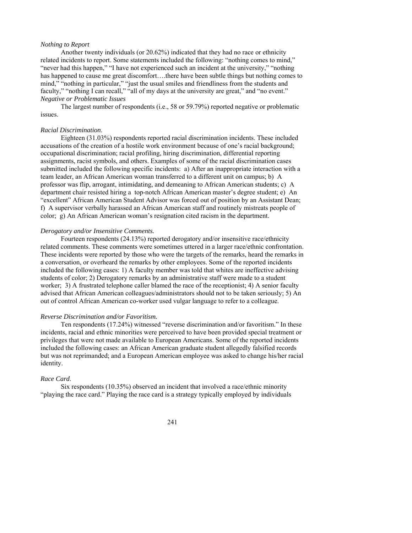# *Nothing to Report*

Another twenty individuals (or 20.62%) indicated that they had no race or ethnicity related incidents to report. Some statements included the following: "nothing comes to mind," "never had this happen," "I have not experienced such an incident at the university," "nothing has happened to cause me great discomfort….there have been subtle things but nothing comes to mind," "nothing in particular," "just the usual smiles and friendliness from the students and faculty," "nothing I can recall," "all of my days at the university are great," and "no event." *Negative or Problematic Issues*

The largest number of respondents (i.e., 58 or 59.79%) reported negative or problematic issues.

# *Racial Discrimination*.

Eighteen (31.03%) respondents reported racial discrimination incidents. These included accusations of the creation of a hostile work environment because of one's racial background; occupational discrimination; racial profiling, hiring discrimination, differential reporting assignments, racist symbols, and others. Examples of some of the racial discrimination cases submitted included the following specific incidents: a) After an inappropriate interaction with a team leader, an African American woman transferred to a different unit on campus; b) A professor was flip, arrogant, intimidating, and demeaning to African American students; c) A department chair resisted hiring a top-notch African American master's degree student; e) An "excellent" African American Student Advisor was forced out of position by an Assistant Dean; f) A supervisor verbally harassed an African American staff and routinely mistreats people of color; g) An African American woman's resignation cited racism in the department.

### *Derogatory and/or Insensitive Comments.*

Fourteen respondents (24.13%) reported derogatory and/or insensitive race/ethnicity related comments. These comments were sometimes uttered in a larger race/ethnic confrontation. These incidents were reported by those who were the targets of the remarks, heard the remarks in a conversation, or overheard the remarks by other employees. Some of the reported incidents included the following cases: 1) A faculty member was told that whites are ineffective advising students of color; 2) Derogatory remarks by an administrative staff were made to a student worker; 3) A frustrated telephone caller blamed the race of the receptionist; 4) A senior faculty advised that African American colleagues/administrators should not to be taken seriously; 5) An out of control African American co-worker used vulgar language to refer to a colleague.

#### *Reverse Discrimination and/or Favoritism.*

 Ten respondents (17.24%) witnessed "reverse discrimination and/or favoritism." In these incidents, racial and ethnic minorities were perceived to have been provided special treatment or privileges that were not made available to European Americans. Some of the reported incidents included the following cases: an African American graduate student allegedly falsified records but was not reprimanded; and a European American employee was asked to change his/her racial identity.

#### *Race Card*.

 Six respondents (10.35%) observed an incident that involved a race/ethnic minority "playing the race card." Playing the race card is a strategy typically employed by individuals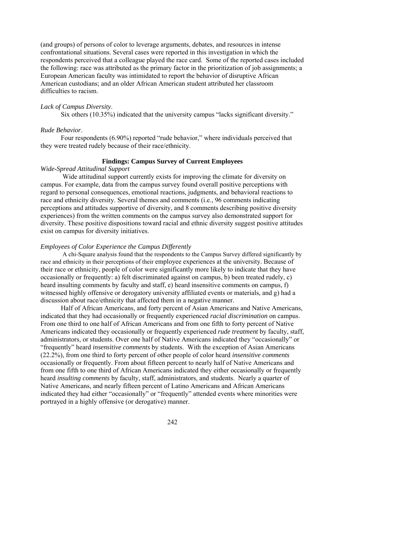(and groups) of persons of color to leverage arguments, debates, and resources in intense confrontational situations. Several cases were reported in this investigation in which the respondents perceived that a colleague played the race card. Some of the reported cases included the following: race was attributed as the primary factor in the prioritization of job assignments; a European American faculty was intimidated to report the behavior of disruptive African American custodians; and an older African American student attributed her classroom difficulties to racism.

# *Lack of Campus Diversity*.

Six others (10.35%) indicated that the university campus "lacks significant diversity."

# *Rude Behavior*.

 Four respondents (6.90%) reported "rude behavior," where individuals perceived that they were treated rudely because of their race/ethnicity.

# **Findings: Campus Survey of Current Employees**

# *Wide-Spread Attitudinal Support*

 Wide attitudinal support currently exists for improving the climate for diversity on campus. For example, data from the campus survey found overall positive perceptions with regard to personal consequences, emotional reactions, judgments, and behavioral reactions to race and ethnicity diversity. Several themes and comments (i.e., 96 comments indicating perceptions and attitudes supportive of diversity, and 8 comments describing positive diversity experiences) from the written comments on the campus survey also demonstrated support for diversity. These positive dispositions toward racial and ethnic diversity suggest positive attitudes exist on campus for diversity initiatives.

#### *Employees of Color Experience the Campus Differently*

A chi-Square analysis found that the respondents to the Campus Survey differed significantly by race and ethnicity in their perceptions of their employee experiences at the university. Because of their race or ethnicity, people of color were significantly more likely to indicate that they have occasionally or frequently: a) felt discriminated against on campus, b) been treated rudely, c) heard insulting comments by faculty and staff, e) heard insensitive comments on campus, f) witnessed highly offensive or derogatory university affiliated events or materials, and g) had a discussion about race/ethnicity that affected them in a negative manner.

Half of African Americans, and forty percent of Asian Americans and Native Americans, indicated that they had occasionally or frequently experienced *racial discrimination* on campus. From one third to one half of African Americans and from one fifth to forty percent of Native Americans indicated they occasionally or frequently experienced *rude treatment* by faculty, staff, administrators, or students. Over one half of Native Americans indicated they "occasionally" or "frequently" heard *insensitive comments* by students. With the exception of Asian Americans (22.2%), from one third to forty percent of other people of color heard *insensitive comments* occasionally or frequently. From about fifteen percent to nearly half of Native Americans and from one fifth to one third of African Americans indicated they either occasionally or frequently heard *insulting comments* by faculty, staff, administrators, and students. Nearly a quarter of Native Americans, and nearly fifteen percent of Latino Americans and African Americans indicated they had either "occasionally" or "frequently" attended events where minorities were portrayed in a highly offensive (or derogative) manner.